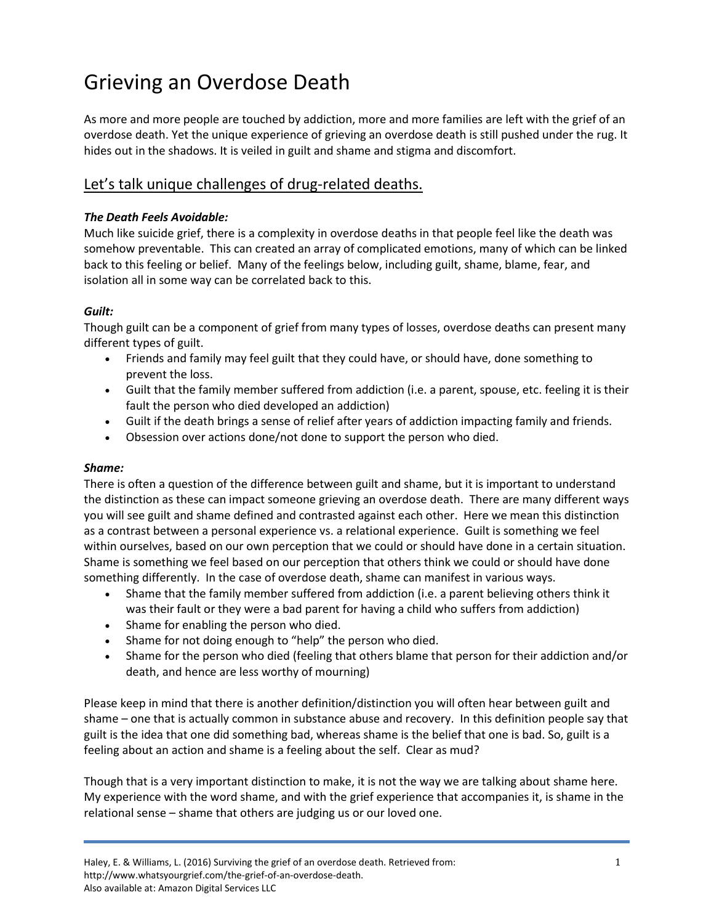# Grieving an Overdose Death

As more and more people are touched by addiction, more and more families are left with the grief of an overdose death. Yet the unique experience of grieving an overdose death is still pushed under the rug. It hides out in the shadows. It is veiled in guilt and shame and stigma and discomfort.

# Let's talk unique challenges of drug-related deaths.

#### *The Death Feels Avoidable:*

Much like suicide grief, there is a complexity in overdose deaths in that people feel like the death was somehow preventable. This can created an array of complicated emotions, many of which can be linked back to this feeling or belief. Many of the feelings below, including guilt, shame, blame, fear, and isolation all in some way can be correlated back to this.

#### *Guilt:*

Though guilt can be a component of grief from many types of losses, overdose deaths can present many different types of guilt.

- Friends and family may feel guilt that they could have, or should have, done something to prevent the loss.
- Guilt that the family member suffered from addiction (i.e. a parent, spouse, etc. feeling it is their fault the person who died developed an addiction)
- Guilt if the death brings a sense of relief after years of addiction impacting family and friends.
- Obsession over actions done/not done to support the person who died.

#### *Shame:*

There is often a question of the difference between guilt and shame, but it is important to understand the distinction as these can impact someone grieving an overdose death. There are many different ways you will see guilt and shame defined and contrasted against each other. Here we mean this distinction as a contrast between a personal experience vs. a relational experience. Guilt is something we feel within ourselves, based on our own perception that we could or should have done in a certain situation. Shame is something we feel based on our perception that others think we could or should have done something differently. In the case of overdose death, shame can manifest in various ways.

- Shame that the family member suffered from addiction (i.e. a parent believing others think it was their fault or they were a bad parent for having a child who suffers from addiction)
- Shame for enabling the person who died.
- Shame for not doing enough to "help" the person who died.
- Shame for the person who died (feeling that others blame that person for their addiction and/or death, and hence are less worthy of mourning)

Please keep in mind that there is another definition/distinction you will often hear between guilt and shame – one that is actually common in substance abuse and recovery. In this definition people say that guilt is the idea that one did something bad, whereas shame is the belief that one is bad. So, guilt is a feeling about an action and shame is a feeling about the self. Clear as mud?

Though that is a very important distinction to make, it is not the way we are talking about shame here. My experience with the word shame, and with the grief experience that accompanies it, is shame in the relational sense – shame that others are judging us or our loved one.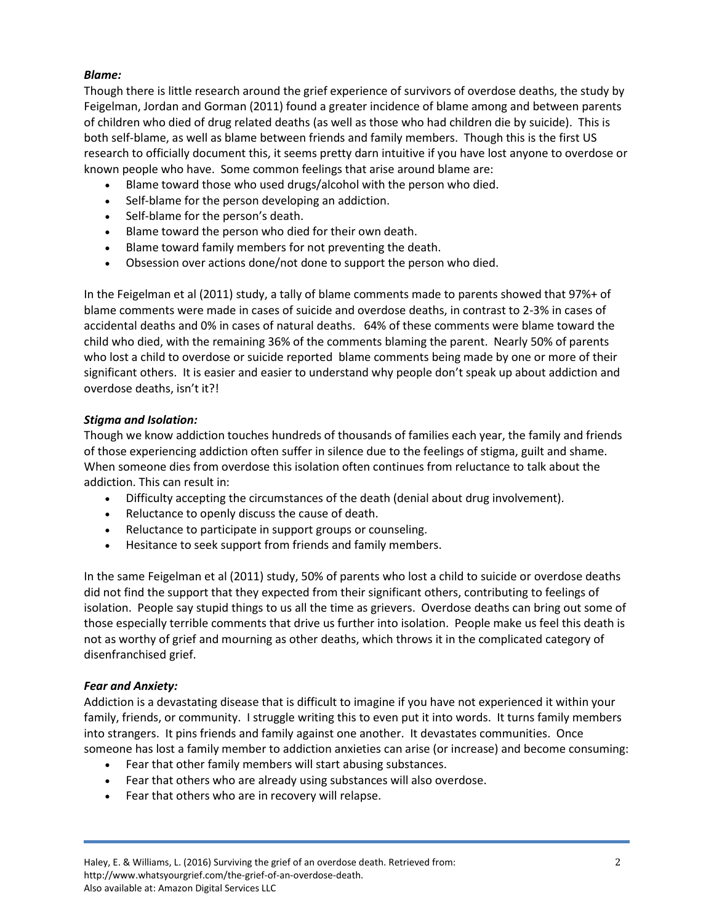## *Blame:*

Though there is little research around the grief experience of survivors of overdose deaths, the study by Feigelman, Jordan and Gorman (2011) found a greater incidence of blame among and between parents of children who died of drug related deaths (as well as those who had children die by suicide). This is both self-blame, as well as blame between friends and family members. Though this is the first US research to officially document this, it seems pretty darn intuitive if you have lost anyone to overdose or known people who have. Some common feelings that arise around blame are:

- Blame toward those who used drugs/alcohol with the person who died.
- Self-blame for the person developing an addiction.
- Self-blame for the person's death.
- Blame toward the person who died for their own death.
- Blame toward family members for not preventing the death.
- Obsession over actions done/not done to support the person who died.

In the Feigelman et al (2011) study, a tally of blame comments made to parents showed that 97%+ of blame comments were made in cases of suicide and overdose deaths, in contrast to 2-3% in cases of accidental deaths and 0% in cases of natural deaths. 64% of these comments were blame toward the child who died, with the remaining 36% of the comments blaming the parent. Nearly 50% of parents who lost a child to overdose or suicide reported blame comments being made by one or more of their significant others. It is easier and easier to understand why people don't speak up about addiction and overdose deaths, isn't it?!

## *Stigma and Isolation:*

Though we know addiction touches hundreds of thousands of families each year, the family and friends of those experiencing addiction often suffer in silence due to the feelings of stigma, guilt and shame. When someone dies from overdose this isolation often continues from reluctance to talk about the addiction. This can result in:

- Difficulty accepting the circumstances of the death (denial about drug involvement).
- Reluctance to openly discuss the cause of death.
- Reluctance to participate in support groups or counseling.
- Hesitance to seek support from friends and family members.

In the same Feigelman et al (2011) study, 50% of parents who lost a child to suicide or overdose deaths did not find the support that they expected from their significant others, contributing to feelings of isolation. People say stupid things to us all the time as grievers. Overdose deaths can bring out some of those especially terrible comments that drive us further into isolation. People make us feel this death is not as worthy of grief and mourning as other deaths, which throws it in the complicated category of disenfranchised grief.

## *Fear and Anxiety:*

Addiction is a devastating disease that is difficult to imagine if you have not experienced it within your family, friends, or community. I struggle writing this to even put it into words. It turns family members into strangers. It pins friends and family against one another. It devastates communities. Once someone has lost a family member to addiction anxieties can arise (or increase) and become consuming:

- Fear that other family members will start abusing substances.
- Fear that others who are already using substances will also overdose.
- Fear that others who are in recovery will relapse.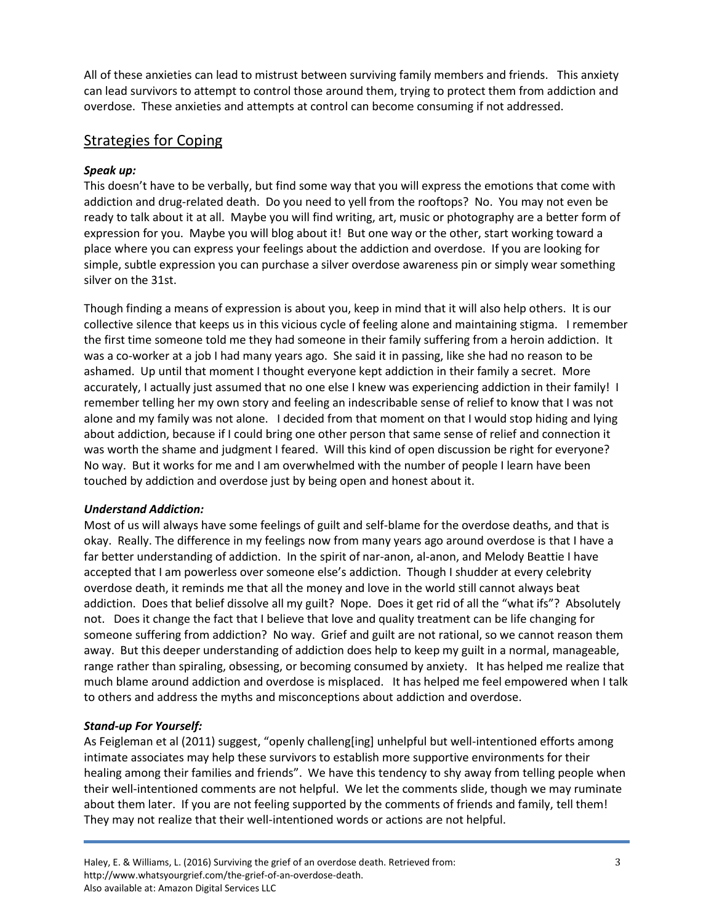All of these anxieties can lead to mistrust between surviving family members and friends. This anxiety can lead survivors to attempt to control those around them, trying to protect them from addiction and overdose. These anxieties and attempts at control can become consuming if not addressed.

# Strategies for Coping

## *Speak up:*

This doesn't have to be verbally, but find some way that you will express the emotions that come with addiction and drug-related death. Do you need to yell from the rooftops? No. You may not even be ready to talk about it at all. Maybe you will find writing, art, music or photography are a better form of expression for you. Maybe you will blog about it! But one way or the other, start working toward a place where you can express your feelings about the addiction and overdose. If you are looking for simple, subtle expression you can purchase a silver overdose awareness pin or simply wear something silver on the 31st.

Though finding a means of expression is about you, keep in mind that it will also help others. It is our collective silence that keeps us in this vicious cycle of feeling alone and maintaining stigma. I remember the first time someone told me they had someone in their family suffering from a heroin addiction. It was a co-worker at a job I had many years ago. She said it in passing, like she had no reason to be ashamed. Up until that moment I thought everyone kept addiction in their family a secret. More accurately, I actually just assumed that no one else I knew was experiencing addiction in their family! I remember telling her my own story and feeling an indescribable sense of relief to know that I was not alone and my family was not alone. I decided from that moment on that I would stop hiding and lying about addiction, because if I could bring one other person that same sense of relief and connection it was worth the shame and judgment I feared. Will this kind of open discussion be right for everyone? No way. But it works for me and I am overwhelmed with the number of people I learn have been touched by addiction and overdose just by being open and honest about it.

## *Understand Addiction:*

Most of us will always have some feelings of guilt and self-blame for the overdose deaths, and that is okay. Really. The difference in my feelings now from many years ago around overdose is that I have a far better understanding of addiction. In the spirit of nar-anon, al-anon, and Melody Beattie I have accepted that I am powerless over someone else's addiction. Though I shudder at every celebrity overdose death, it reminds me that all the money and love in the world still cannot always beat addiction. Does that belief dissolve all my guilt? Nope. Does it get rid of all the "what ifs"? Absolutely not. Does it change the fact that I believe that love and quality treatment can be life changing for someone suffering from addiction? No way. Grief and guilt are not rational, so we cannot reason them away. But this deeper understanding of addiction does help to keep my guilt in a normal, manageable, range rather than spiraling, obsessing, or becoming consumed by anxiety. It has helped me realize that much blame around addiction and overdose is misplaced. It has helped me feel empowered when I talk to others and address the myths and misconceptions about addiction and overdose.

## *Stand-up For Yourself:*

As Feigleman et al (2011) suggest, "openly challeng[ing] unhelpful but well-intentioned efforts among intimate associates may help these survivors to establish more supportive environments for their healing among their families and friends". We have this tendency to shy away from telling people when their well-intentioned comments are not helpful. We let the comments slide, though we may ruminate about them later. If you are not feeling supported by the comments of friends and family, tell them! They may not realize that their well-intentioned words or actions are not helpful.